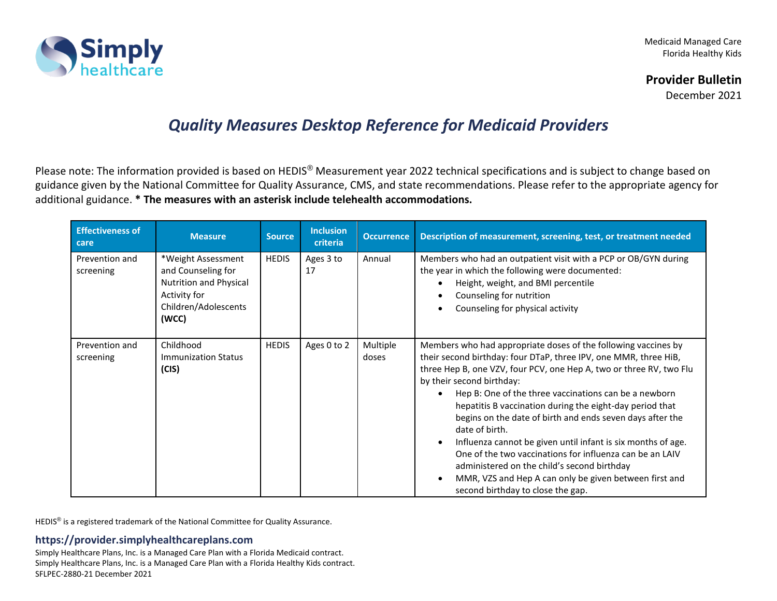

Medicaid Managed Care Florida Healthy Kids

# **Provider Bulletin**

December 2021

# *Quality Measures Desktop Reference for Medicaid Providers*

Please note: The information provided is based on HEDIS® Measurement year 2022 technical specifications and is subject to change based on guidance given by the National Committee for Quality Assurance, CMS, and state recommendations. Please refer to the appropriate agency for additional guidance. **\* The measures with an asterisk include telehealth accommodations.**

| <b>Effectiveness of</b><br>care | <b>Measure</b>                                                                                                      | <b>Source</b> | <b>Inclusion</b><br>criteria | <b>Occurrence</b> | Description of measurement, screening, test, or treatment needed                                                                                                                                                                                                                                                                                                                                                                                                                                                                                                                                                                                                                                                                                            |
|---------------------------------|---------------------------------------------------------------------------------------------------------------------|---------------|------------------------------|-------------------|-------------------------------------------------------------------------------------------------------------------------------------------------------------------------------------------------------------------------------------------------------------------------------------------------------------------------------------------------------------------------------------------------------------------------------------------------------------------------------------------------------------------------------------------------------------------------------------------------------------------------------------------------------------------------------------------------------------------------------------------------------------|
| Prevention and<br>screening     | *Weight Assessment<br>and Counseling for<br>Nutrition and Physical<br>Activity for<br>Children/Adolescents<br>(WCC) | <b>HEDIS</b>  | Ages 3 to<br>17              | Annual            | Members who had an outpatient visit with a PCP or OB/GYN during<br>the year in which the following were documented:<br>Height, weight, and BMI percentile<br>$\bullet$<br>Counseling for nutrition<br>٠<br>Counseling for physical activity<br>$\bullet$                                                                                                                                                                                                                                                                                                                                                                                                                                                                                                    |
| Prevention and<br>screening     | Childhood<br><b>Immunization Status</b><br>(CIS)                                                                    | <b>HEDIS</b>  | Ages 0 to 2                  | Multiple<br>doses | Members who had appropriate doses of the following vaccines by<br>their second birthday: four DTaP, three IPV, one MMR, three HiB,<br>three Hep B, one VZV, four PCV, one Hep A, two or three RV, two Flu<br>by their second birthday:<br>Hep B: One of the three vaccinations can be a newborn<br>$\bullet$<br>hepatitis B vaccination during the eight-day period that<br>begins on the date of birth and ends seven days after the<br>date of birth.<br>Influenza cannot be given until infant is six months of age.<br>$\bullet$<br>One of the two vaccinations for influenza can be an LAIV<br>administered on the child's second birthday<br>MMR, VZS and Hep A can only be given between first and<br>$\bullet$<br>second birthday to close the gap. |

HEDIS® is a registered trademark of the National Committee for Quality Assurance.

# **https://provider.simplyhealthcareplans.com**

Simply Healthcare Plans, Inc. is a Managed Care Plan with a Florida Medicaid contract. Simply Healthcare Plans, Inc. is a Managed Care Plan with a Florida Healthy Kids contract. SFLPEC-2880-21 December 2021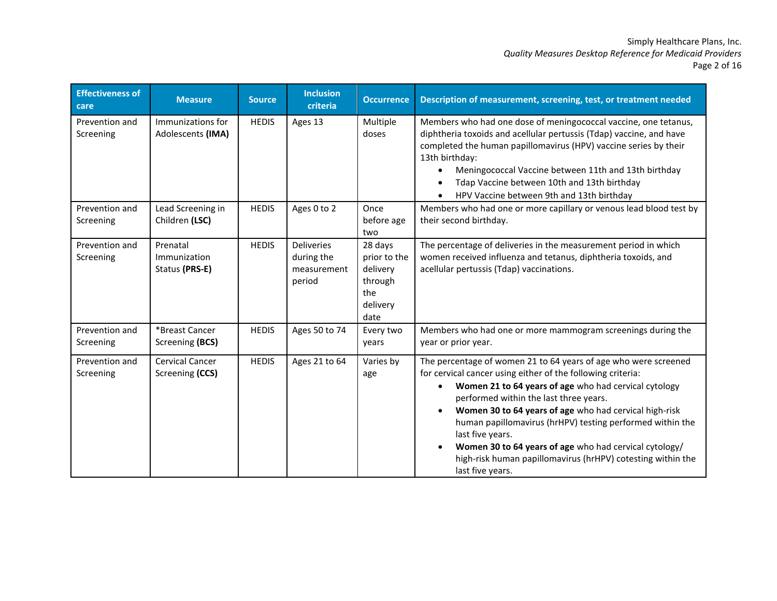# Simply Healthcare Plans, Inc. *Quality Measures Desktop Reference for Medicaid Providers* Page 2 of 16

| <b>Effectiveness of</b><br>care | <b>Measure</b>                             | <b>Source</b> | <b>Inclusion</b><br>criteria                             | <b>Occurrence</b>                                                         | Description of measurement, screening, test, or treatment needed                                                                                                                                                                                                                                                                                                                                                                                                                                                          |
|---------------------------------|--------------------------------------------|---------------|----------------------------------------------------------|---------------------------------------------------------------------------|---------------------------------------------------------------------------------------------------------------------------------------------------------------------------------------------------------------------------------------------------------------------------------------------------------------------------------------------------------------------------------------------------------------------------------------------------------------------------------------------------------------------------|
| Prevention and<br>Screening     | Immunizations for<br>Adolescents (IMA)     | <b>HEDIS</b>  | Ages 13                                                  | Multiple<br>doses                                                         | Members who had one dose of meningococcal vaccine, one tetanus,<br>diphtheria toxoids and acellular pertussis (Tdap) vaccine, and have<br>completed the human papillomavirus (HPV) vaccine series by their<br>13th birthday:<br>Meningococcal Vaccine between 11th and 13th birthday<br>Tdap Vaccine between 10th and 13th birthday<br>HPV Vaccine between 9th and 13th birthday                                                                                                                                          |
| Prevention and<br>Screening     | Lead Screening in<br>Children (LSC)        | <b>HEDIS</b>  | Ages 0 to 2                                              | Once<br>before age<br>two                                                 | Members who had one or more capillary or venous lead blood test by<br>their second birthday.                                                                                                                                                                                                                                                                                                                                                                                                                              |
| Prevention and<br>Screening     | Prenatal<br>Immunization<br>Status (PRS-E) | <b>HEDIS</b>  | <b>Deliveries</b><br>during the<br>measurement<br>period | 28 days<br>prior to the<br>delivery<br>through<br>the<br>delivery<br>date | The percentage of deliveries in the measurement period in which<br>women received influenza and tetanus, diphtheria toxoids, and<br>acellular pertussis (Tdap) vaccinations.                                                                                                                                                                                                                                                                                                                                              |
| Prevention and<br>Screening     | *Breast Cancer<br>Screening (BCS)          | <b>HEDIS</b>  | Ages 50 to 74                                            | Every two<br>years                                                        | Members who had one or more mammogram screenings during the<br>year or prior year.                                                                                                                                                                                                                                                                                                                                                                                                                                        |
| Prevention and<br>Screening     | <b>Cervical Cancer</b><br>Screening (CCS)  | <b>HEDIS</b>  | Ages 21 to 64                                            | Varies by<br>age                                                          | The percentage of women 21 to 64 years of age who were screened<br>for cervical cancer using either of the following criteria:<br>Women 21 to 64 years of age who had cervical cytology<br>performed within the last three years.<br>Women 30 to 64 years of age who had cervical high-risk<br>human papillomavirus (hrHPV) testing performed within the<br>last five years.<br>Women 30 to 64 years of age who had cervical cytology/<br>high-risk human papillomavirus (hrHPV) cotesting within the<br>last five years. |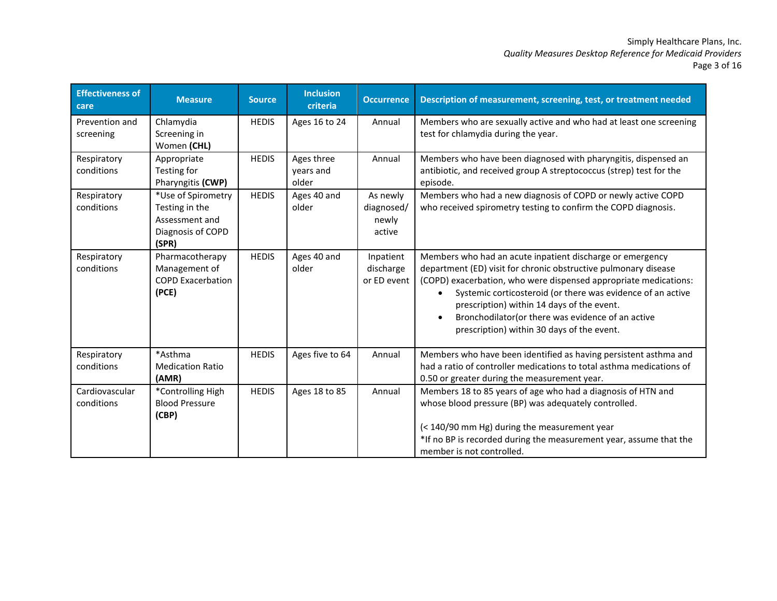#### Simply Healthcare Plans, Inc. *Quality Measures Desktop Reference for Medicaid Providers* Page 3 of 16

| <b>Effectiveness of</b><br>care | <b>Measure</b>                                                                       | <b>Source</b> | <b>Inclusion</b><br>criteria     | <b>Occurrence</b>                         | Description of measurement, screening, test, or treatment needed                                                                                                                                                                                                                                                                                                                                                 |
|---------------------------------|--------------------------------------------------------------------------------------|---------------|----------------------------------|-------------------------------------------|------------------------------------------------------------------------------------------------------------------------------------------------------------------------------------------------------------------------------------------------------------------------------------------------------------------------------------------------------------------------------------------------------------------|
| Prevention and<br>screening     | Chlamydia<br>Screening in<br>Women (CHL)                                             | <b>HEDIS</b>  | Ages 16 to 24                    | Annual                                    | Members who are sexually active and who had at least one screening<br>test for chlamydia during the year.                                                                                                                                                                                                                                                                                                        |
| Respiratory<br>conditions       | Appropriate<br>Testing for<br>Pharyngitis (CWP)                                      | <b>HEDIS</b>  | Ages three<br>years and<br>older | Annual                                    | Members who have been diagnosed with pharyngitis, dispensed an<br>antibiotic, and received group A streptococcus (strep) test for the<br>episode.                                                                                                                                                                                                                                                                |
| Respiratory<br>conditions       | *Use of Spirometry<br>Testing in the<br>Assessment and<br>Diagnosis of COPD<br>(SPR) | <b>HEDIS</b>  | Ages 40 and<br>older             | As newly<br>diagnosed/<br>newly<br>active | Members who had a new diagnosis of COPD or newly active COPD<br>who received spirometry testing to confirm the COPD diagnosis.                                                                                                                                                                                                                                                                                   |
| Respiratory<br>conditions       | Pharmacotherapy<br>Management of<br><b>COPD Exacerbation</b><br>(PCE)                | <b>HEDIS</b>  | Ages 40 and<br>older             | Inpatient<br>discharge<br>or ED event     | Members who had an acute inpatient discharge or emergency<br>department (ED) visit for chronic obstructive pulmonary disease<br>(COPD) exacerbation, who were dispensed appropriate medications:<br>Systemic corticosteroid (or there was evidence of an active<br>prescription) within 14 days of the event.<br>Bronchodilator(or there was evidence of an active<br>prescription) within 30 days of the event. |
| Respiratory<br>conditions       | *Asthma<br><b>Medication Ratio</b><br>(AMR)                                          | <b>HEDIS</b>  | Ages five to 64                  | Annual                                    | Members who have been identified as having persistent asthma and<br>had a ratio of controller medications to total asthma medications of<br>0.50 or greater during the measurement year.                                                                                                                                                                                                                         |
| Cardiovascular<br>conditions    | *Controlling High<br><b>Blood Pressure</b><br>(CBP)                                  | <b>HEDIS</b>  | Ages 18 to 85                    | Annual                                    | Members 18 to 85 years of age who had a diagnosis of HTN and<br>whose blood pressure (BP) was adequately controlled.<br>(< 140/90 mm Hg) during the measurement year<br>*If no BP is recorded during the measurement year, assume that the<br>member is not controlled.                                                                                                                                          |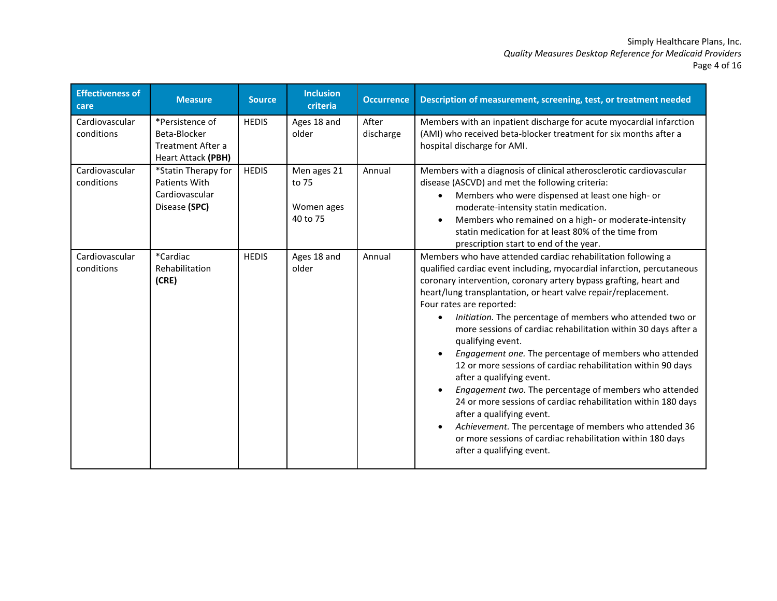# Simply Healthcare Plans, Inc. *Quality Measures Desktop Reference for Medicaid Providers* Page 4 of 16

| <b>Effectiveness of</b><br>care | <b>Measure</b>                                                             | <b>Source</b> | <b>Inclusion</b><br>criteria                   | <b>Occurrence</b>  | Description of measurement, screening, test, or treatment needed                                                                                                                                                                                                                                                                                                                                                                                                                                                                                                                                                                                                                                                                                                                                                                                                                                                                               |
|---------------------------------|----------------------------------------------------------------------------|---------------|------------------------------------------------|--------------------|------------------------------------------------------------------------------------------------------------------------------------------------------------------------------------------------------------------------------------------------------------------------------------------------------------------------------------------------------------------------------------------------------------------------------------------------------------------------------------------------------------------------------------------------------------------------------------------------------------------------------------------------------------------------------------------------------------------------------------------------------------------------------------------------------------------------------------------------------------------------------------------------------------------------------------------------|
| Cardiovascular<br>conditions    | *Persistence of<br>Beta-Blocker<br>Treatment After a<br>Heart Attack (PBH) | <b>HEDIS</b>  | Ages 18 and<br>older                           | After<br>discharge | Members with an inpatient discharge for acute myocardial infarction<br>(AMI) who received beta-blocker treatment for six months after a<br>hospital discharge for AMI.                                                                                                                                                                                                                                                                                                                                                                                                                                                                                                                                                                                                                                                                                                                                                                         |
| Cardiovascular<br>conditions    | *Statin Therapy for<br>Patients With<br>Cardiovascular<br>Disease (SPC)    | <b>HEDIS</b>  | Men ages 21<br>to 75<br>Women ages<br>40 to 75 | Annual             | Members with a diagnosis of clinical atherosclerotic cardiovascular<br>disease (ASCVD) and met the following criteria:<br>Members who were dispensed at least one high- or<br>moderate-intensity statin medication.<br>Members who remained on a high- or moderate-intensity<br>statin medication for at least 80% of the time from<br>prescription start to end of the year.                                                                                                                                                                                                                                                                                                                                                                                                                                                                                                                                                                  |
| Cardiovascular<br>conditions    | *Cardiac<br>Rehabilitation<br>(CRE)                                        | <b>HEDIS</b>  | Ages 18 and<br>older                           | Annual             | Members who have attended cardiac rehabilitation following a<br>qualified cardiac event including, myocardial infarction, percutaneous<br>coronary intervention, coronary artery bypass grafting, heart and<br>heart/lung transplantation, or heart valve repair/replacement.<br>Four rates are reported:<br>Initiation. The percentage of members who attended two or<br>$\bullet$<br>more sessions of cardiac rehabilitation within 30 days after a<br>qualifying event.<br>Engagement one. The percentage of members who attended<br>12 or more sessions of cardiac rehabilitation within 90 days<br>after a qualifying event.<br>Engagement two. The percentage of members who attended<br>24 or more sessions of cardiac rehabilitation within 180 days<br>after a qualifying event.<br>Achievement. The percentage of members who attended 36<br>or more sessions of cardiac rehabilitation within 180 days<br>after a qualifying event. |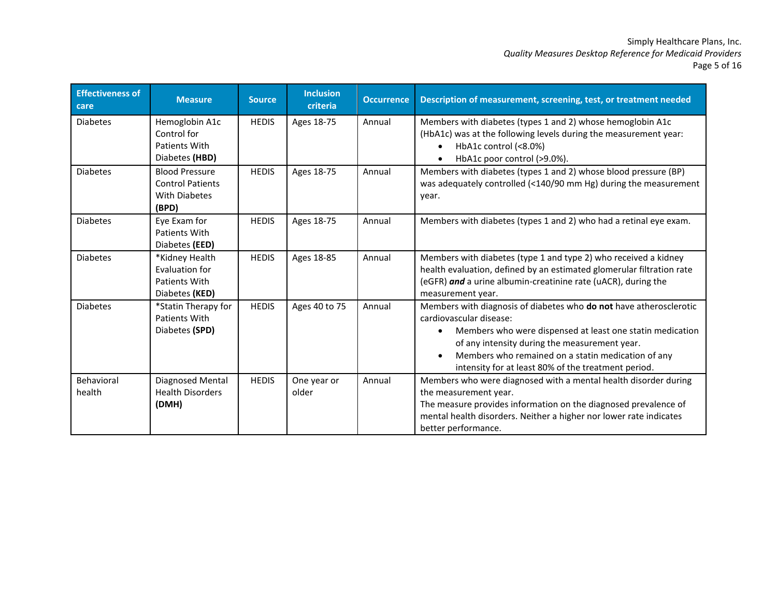# Simply Healthcare Plans, Inc. *Quality Measures Desktop Reference for Medicaid Providers* Page 5 of 16

| <b>Effectiveness of</b><br>care | <b>Measure</b>                                                                    | <b>Source</b> | <b>Inclusion</b><br>criteria | <b>Occurrence</b> | Description of measurement, screening, test, or treatment needed                                                                                                                                                                                                                                                         |
|---------------------------------|-----------------------------------------------------------------------------------|---------------|------------------------------|-------------------|--------------------------------------------------------------------------------------------------------------------------------------------------------------------------------------------------------------------------------------------------------------------------------------------------------------------------|
| <b>Diabetes</b>                 | Hemoglobin A1c<br>Control for<br><b>Patients With</b><br>Diabetes (HBD)           | <b>HEDIS</b>  | Ages 18-75                   | Annual            | Members with diabetes (types 1 and 2) whose hemoglobin A1c<br>(HbA1c) was at the following levels during the measurement year:<br>HbA1c control (<8.0%)<br>HbA1c poor control (>9.0%).                                                                                                                                   |
| <b>Diabetes</b>                 | <b>Blood Pressure</b><br><b>Control Patients</b><br><b>With Diabetes</b><br>(BPD) | <b>HEDIS</b>  | Ages 18-75                   | Annual            | Members with diabetes (types 1 and 2) whose blood pressure (BP)<br>was adequately controlled (<140/90 mm Hg) during the measurement<br>year.                                                                                                                                                                             |
| <b>Diabetes</b>                 | Eye Exam for<br>Patients With<br>Diabetes (EED)                                   | <b>HEDIS</b>  | Ages 18-75                   | Annual            | Members with diabetes (types 1 and 2) who had a retinal eye exam.                                                                                                                                                                                                                                                        |
| <b>Diabetes</b>                 | *Kidney Health<br>Evaluation for<br>Patients With<br>Diabetes (KED)               | <b>HEDIS</b>  | Ages 18-85                   | Annual            | Members with diabetes (type 1 and type 2) who received a kidney<br>health evaluation, defined by an estimated glomerular filtration rate<br>(eGFR) and a urine albumin-creatinine rate (uACR), during the<br>measurement year.                                                                                           |
| <b>Diabetes</b>                 | *Statin Therapy for<br>Patients With<br>Diabetes (SPD)                            | <b>HEDIS</b>  | Ages 40 to 75                | Annual            | Members with diagnosis of diabetes who do not have atherosclerotic<br>cardiovascular disease:<br>Members who were dispensed at least one statin medication<br>of any intensity during the measurement year.<br>Members who remained on a statin medication of any<br>intensity for at least 80% of the treatment period. |
| Behavioral<br>health            | Diagnosed Mental<br><b>Health Disorders</b><br>(DMH)                              | <b>HEDIS</b>  | One year or<br>older         | Annual            | Members who were diagnosed with a mental health disorder during<br>the measurement year.<br>The measure provides information on the diagnosed prevalence of<br>mental health disorders. Neither a higher nor lower rate indicates<br>better performance.                                                                 |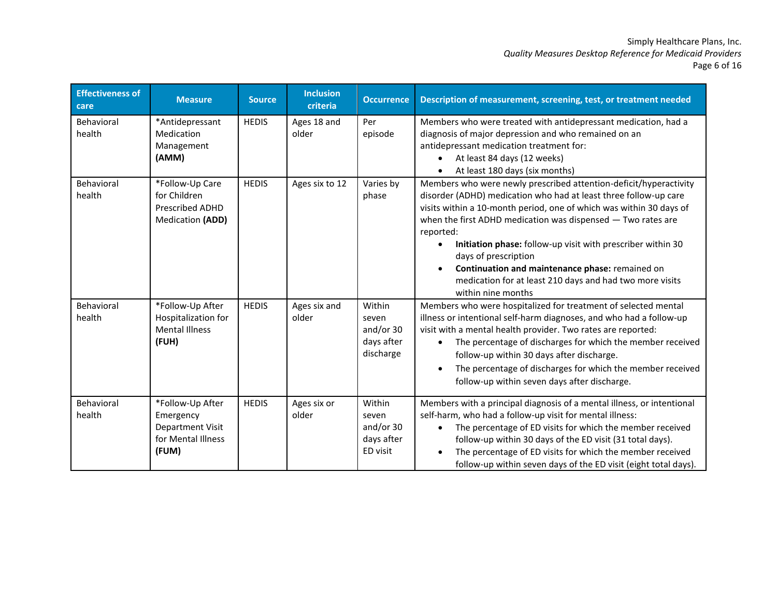# Simply Healthcare Plans, Inc. *Quality Measures Desktop Reference for Medicaid Providers* Page 6 of 16

| <b>Effectiveness of</b><br>care | <b>Measure</b>                                                                          | <b>Source</b> | <b>Inclusion</b><br>criteria | <b>Occurrence</b>                                        | Description of measurement, screening, test, or treatment needed                                                                                                                                                                                                                                                                                                                                                                                                                                                        |
|---------------------------------|-----------------------------------------------------------------------------------------|---------------|------------------------------|----------------------------------------------------------|-------------------------------------------------------------------------------------------------------------------------------------------------------------------------------------------------------------------------------------------------------------------------------------------------------------------------------------------------------------------------------------------------------------------------------------------------------------------------------------------------------------------------|
| Behavioral<br>health            | *Antidepressant<br>Medication<br>Management<br>(AMM)                                    | <b>HEDIS</b>  | Ages 18 and<br>older         | Per<br>episode                                           | Members who were treated with antidepressant medication, had a<br>diagnosis of major depression and who remained on an<br>antidepressant medication treatment for:<br>At least 84 days (12 weeks)<br>At least 180 days (six months)                                                                                                                                                                                                                                                                                     |
| Behavioral<br>health            | *Follow-Up Care<br>for Children<br><b>Prescribed ADHD</b><br>Medication (ADD)           | <b>HEDIS</b>  | Ages six to 12               | Varies by<br>phase                                       | Members who were newly prescribed attention-deficit/hyperactivity<br>disorder (ADHD) medication who had at least three follow-up care<br>visits within a 10-month period, one of which was within 30 days of<br>when the first ADHD medication was dispensed $-$ Two rates are<br>reported:<br>Initiation phase: follow-up visit with prescriber within 30<br>days of prescription<br>Continuation and maintenance phase: remained on<br>medication for at least 210 days and had two more visits<br>within nine months |
| Behavioral<br>health            | *Follow-Up After<br>Hospitalization for<br><b>Mental Illness</b><br>(FUH)               | <b>HEDIS</b>  | Ages six and<br>older        | Within<br>seven<br>and/or 30<br>days after<br>discharge  | Members who were hospitalized for treatment of selected mental<br>illness or intentional self-harm diagnoses, and who had a follow-up<br>visit with a mental health provider. Two rates are reported:<br>The percentage of discharges for which the member received<br>follow-up within 30 days after discharge.<br>The percentage of discharges for which the member received<br>follow-up within seven days after discharge.                                                                                          |
| Behavioral<br>health            | *Follow-Up After<br>Emergency<br><b>Department Visit</b><br>for Mental Illness<br>(FUM) | <b>HEDIS</b>  | Ages six or<br>older         | Within<br>seven<br>and/or $30$<br>days after<br>ED visit | Members with a principal diagnosis of a mental illness, or intentional<br>self-harm, who had a follow-up visit for mental illness:<br>The percentage of ED visits for which the member received<br>$\bullet$<br>follow-up within 30 days of the ED visit (31 total days).<br>The percentage of ED visits for which the member received<br>follow-up within seven days of the ED visit (eight total days).                                                                                                               |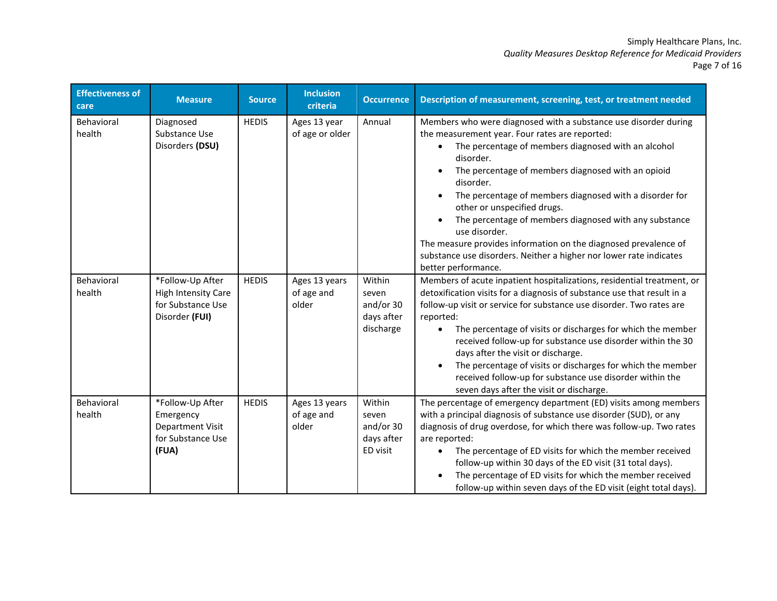# Simply Healthcare Plans, Inc. *Quality Measures Desktop Reference for Medicaid Providers* Page 7 of 16

| <b>Effectiveness of</b><br>care | <b>Measure</b>                                                                        | <b>Source</b> | <b>Inclusion</b><br>criteria         | <b>Occurrence</b>                                       | Description of measurement, screening, test, or treatment needed                                                                                                                                                                                                                                                                                                                                                                                                                                                                                                                              |
|---------------------------------|---------------------------------------------------------------------------------------|---------------|--------------------------------------|---------------------------------------------------------|-----------------------------------------------------------------------------------------------------------------------------------------------------------------------------------------------------------------------------------------------------------------------------------------------------------------------------------------------------------------------------------------------------------------------------------------------------------------------------------------------------------------------------------------------------------------------------------------------|
| Behavioral<br>health            | Diagnosed<br>Substance Use<br>Disorders (DSU)                                         | <b>HEDIS</b>  | Ages 13 year<br>of age or older      | Annual                                                  | Members who were diagnosed with a substance use disorder during<br>the measurement year. Four rates are reported:<br>The percentage of members diagnosed with an alcohol<br>disorder.<br>The percentage of members diagnosed with an opioid<br>disorder.<br>The percentage of members diagnosed with a disorder for<br>other or unspecified drugs.<br>The percentage of members diagnosed with any substance<br>use disorder.<br>The measure provides information on the diagnosed prevalence of<br>substance use disorders. Neither a higher nor lower rate indicates<br>better performance. |
| Behavioral<br>health            | *Follow-Up After<br><b>High Intensity Care</b><br>for Substance Use<br>Disorder (FUI) | <b>HEDIS</b>  | Ages 13 years<br>of age and<br>older | Within<br>seven<br>and/or 30<br>days after<br>discharge | Members of acute inpatient hospitalizations, residential treatment, or<br>detoxification visits for a diagnosis of substance use that result in a<br>follow-up visit or service for substance use disorder. Two rates are<br>reported:<br>The percentage of visits or discharges for which the member<br>received follow-up for substance use disorder within the 30<br>days after the visit or discharge.<br>The percentage of visits or discharges for which the member<br>received follow-up for substance use disorder within the<br>seven days after the visit or discharge.             |
| Behavioral<br>health            | *Follow-Up After<br>Emergency<br>Department Visit<br>for Substance Use<br>(FUA)       | <b>HEDIS</b>  | Ages 13 years<br>of age and<br>older | Within<br>seven<br>and/or 30<br>days after<br>ED visit  | The percentage of emergency department (ED) visits among members<br>with a principal diagnosis of substance use disorder (SUD), or any<br>diagnosis of drug overdose, for which there was follow-up. Two rates<br>are reported:<br>The percentage of ED visits for which the member received<br>follow-up within 30 days of the ED visit (31 total days).<br>The percentage of ED visits for which the member received<br>follow-up within seven days of the ED visit (eight total days).                                                                                                     |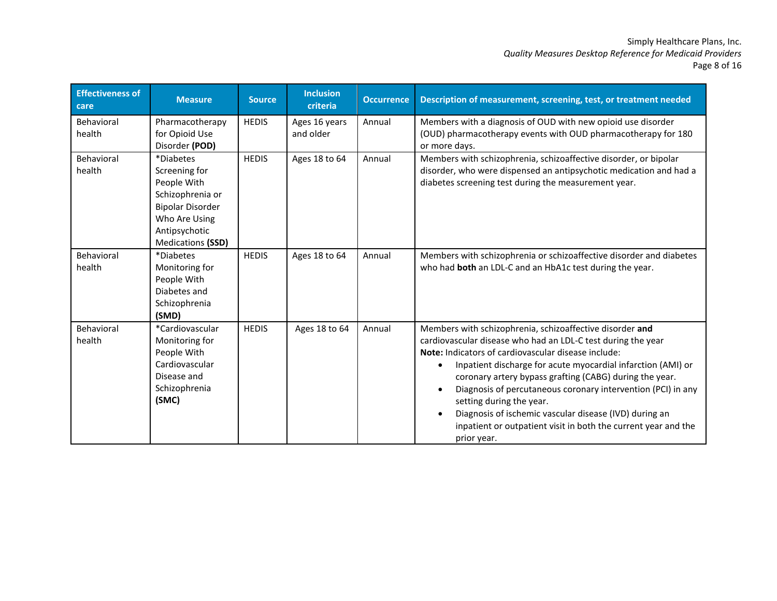#### Simply Healthcare Plans, Inc. *Quality Measures Desktop Reference for Medicaid Providers* Page 8 of 16

| <b>Effectiveness of</b><br>care | <b>Measure</b>                                                                                                                                  | <b>Source</b> | <b>Inclusion</b><br>criteria | <b>Occurrence</b> | Description of measurement, screening, test, or treatment needed                                                                                                                                                                                                                                                                                                                                                                                                                                                                                         |
|---------------------------------|-------------------------------------------------------------------------------------------------------------------------------------------------|---------------|------------------------------|-------------------|----------------------------------------------------------------------------------------------------------------------------------------------------------------------------------------------------------------------------------------------------------------------------------------------------------------------------------------------------------------------------------------------------------------------------------------------------------------------------------------------------------------------------------------------------------|
| Behavioral<br>health            | Pharmacotherapy<br>for Opioid Use<br>Disorder (POD)                                                                                             | <b>HEDIS</b>  | Ages 16 years<br>and older   | Annual            | Members with a diagnosis of OUD with new opioid use disorder<br>(OUD) pharmacotherapy events with OUD pharmacotherapy for 180<br>or more days.                                                                                                                                                                                                                                                                                                                                                                                                           |
| Behavioral<br>health            | *Diabetes<br>Screening for<br>People With<br>Schizophrenia or<br><b>Bipolar Disorder</b><br>Who Are Using<br>Antipsychotic<br>Medications (SSD) | <b>HEDIS</b>  | Ages 18 to 64                | Annual            | Members with schizophrenia, schizoaffective disorder, or bipolar<br>disorder, who were dispensed an antipsychotic medication and had a<br>diabetes screening test during the measurement year.                                                                                                                                                                                                                                                                                                                                                           |
| Behavioral<br>health            | *Diabetes<br>Monitoring for<br>People With<br>Diabetes and<br>Schizophrenia<br>(SMD)                                                            | <b>HEDIS</b>  | Ages 18 to 64                | Annual            | Members with schizophrenia or schizoaffective disorder and diabetes<br>who had both an LDL-C and an HbA1c test during the year.                                                                                                                                                                                                                                                                                                                                                                                                                          |
| Behavioral<br>health            | *Cardiovascular<br>Monitoring for<br>People With<br>Cardiovascular<br>Disease and<br>Schizophrenia<br>(SMC)                                     | <b>HEDIS</b>  | Ages 18 to 64                | Annual            | Members with schizophrenia, schizoaffective disorder and<br>cardiovascular disease who had an LDL-C test during the year<br><b>Note:</b> Indicators of cardiovascular disease include:<br>Inpatient discharge for acute myocardial infarction (AMI) or<br>coronary artery bypass grafting (CABG) during the year.<br>Diagnosis of percutaneous coronary intervention (PCI) in any<br>setting during the year.<br>Diagnosis of ischemic vascular disease (IVD) during an<br>inpatient or outpatient visit in both the current year and the<br>prior year. |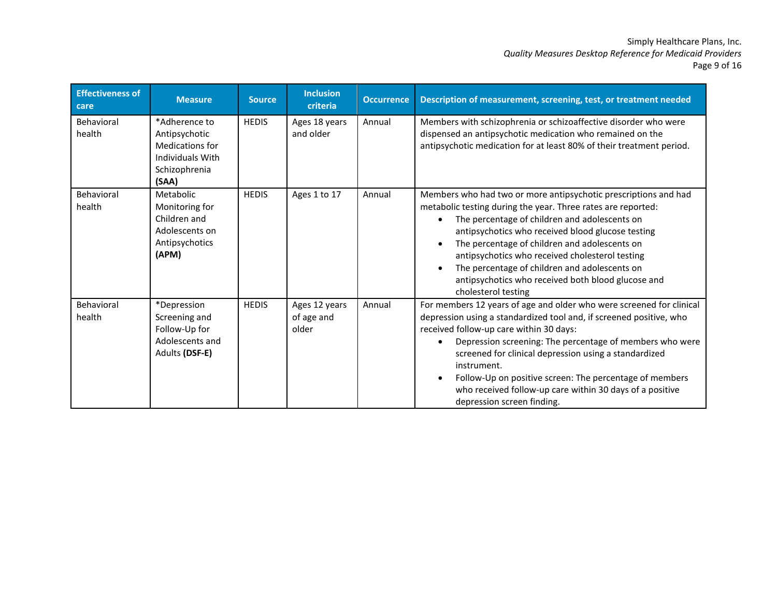# Simply Healthcare Plans, Inc. *Quality Measures Desktop Reference for Medicaid Providers* Page 9 of 16

| <b>Effectiveness of</b><br>care | <b>Measure</b>                                                                                  | <b>Source</b> | <b>Inclusion</b><br>criteria         | <b>Occurrence</b> | Description of measurement, screening, test, or treatment needed                                                                                                                                                                                                                                                                                                                                                                                                                |
|---------------------------------|-------------------------------------------------------------------------------------------------|---------------|--------------------------------------|-------------------|---------------------------------------------------------------------------------------------------------------------------------------------------------------------------------------------------------------------------------------------------------------------------------------------------------------------------------------------------------------------------------------------------------------------------------------------------------------------------------|
| Behavioral<br>health            | *Adherence to<br>Antipsychotic<br>Medications for<br>Individuals With<br>Schizophrenia<br>(SAA) | <b>HEDIS</b>  | Ages 18 years<br>and older           | Annual            | Members with schizophrenia or schizoaffective disorder who were<br>dispensed an antipsychotic medication who remained on the<br>antipsychotic medication for at least 80% of their treatment period.                                                                                                                                                                                                                                                                            |
| Behavioral<br>health            | Metabolic<br>Monitoring for<br>Children and<br>Adolescents on<br>Antipsychotics<br>(APM)        | <b>HEDIS</b>  | Ages 1 to 17                         | Annual            | Members who had two or more antipsychotic prescriptions and had<br>metabolic testing during the year. Three rates are reported:<br>The percentage of children and adolescents on<br>antipsychotics who received blood glucose testing<br>The percentage of children and adolescents on<br>antipsychotics who received cholesterol testing<br>The percentage of children and adolescents on<br>antipsychotics who received both blood glucose and<br>cholesterol testing         |
| Behavioral<br>health            | *Depression<br>Screening and<br>Follow-Up for<br>Adolescents and<br>Adults (DSF-E)              | <b>HEDIS</b>  | Ages 12 years<br>of age and<br>older | Annual            | For members 12 years of age and older who were screened for clinical<br>depression using a standardized tool and, if screened positive, who<br>received follow-up care within 30 days:<br>Depression screening: The percentage of members who were<br>screened for clinical depression using a standardized<br>instrument.<br>Follow-Up on positive screen: The percentage of members<br>who received follow-up care within 30 days of a positive<br>depression screen finding. |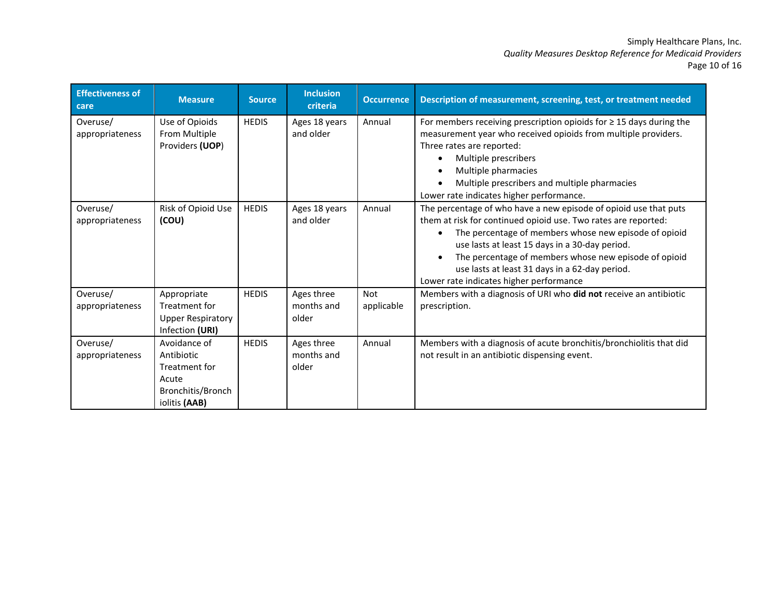#### Simply Healthcare Plans, Inc. *Quality Measures Desktop Reference for Medicaid Providers* Page 10 of 16

| <b>Effectiveness of</b><br>care | <b>Measure</b>                                                                             | <b>Source</b> | <b>Inclusion</b><br>criteria      | <b>Occurrence</b>        | Description of measurement, screening, test, or treatment needed                                                                                                                                                                                                                                                                                                                                    |
|---------------------------------|--------------------------------------------------------------------------------------------|---------------|-----------------------------------|--------------------------|-----------------------------------------------------------------------------------------------------------------------------------------------------------------------------------------------------------------------------------------------------------------------------------------------------------------------------------------------------------------------------------------------------|
| Overuse/<br>appropriateness     | Use of Opioids<br>From Multiple<br>Providers (UOP)                                         | <b>HEDIS</b>  | Ages 18 years<br>and older        | Annual                   | For members receiving prescription opioids for $\geq$ 15 days during the<br>measurement year who received opioids from multiple providers.<br>Three rates are reported:<br>Multiple prescribers<br>Multiple pharmacies<br>Multiple prescribers and multiple pharmacies<br>Lower rate indicates higher performance.                                                                                  |
| Overuse/<br>appropriateness     | Risk of Opioid Use<br>(COU)                                                                | <b>HEDIS</b>  | Ages 18 years<br>and older        | Annual                   | The percentage of who have a new episode of opioid use that puts<br>them at risk for continued opioid use. Two rates are reported:<br>The percentage of members whose new episode of opioid<br>use lasts at least 15 days in a 30-day period.<br>The percentage of members whose new episode of opioid<br>use lasts at least 31 days in a 62-day period.<br>Lower rate indicates higher performance |
| Overuse/<br>appropriateness     | Appropriate<br>Treatment for<br><b>Upper Respiratory</b><br>Infection (URI)                | <b>HEDIS</b>  | Ages three<br>months and<br>older | <b>Not</b><br>applicable | Members with a diagnosis of URI who did not receive an antibiotic<br>prescription.                                                                                                                                                                                                                                                                                                                  |
| Overuse/<br>appropriateness     | Avoidance of<br>Antibiotic<br>Treatment for<br>Acute<br>Bronchitis/Bronch<br>iolitis (AAB) | <b>HEDIS</b>  | Ages three<br>months and<br>older | Annual                   | Members with a diagnosis of acute bronchitis/bronchiolitis that did<br>not result in an antibiotic dispensing event.                                                                                                                                                                                                                                                                                |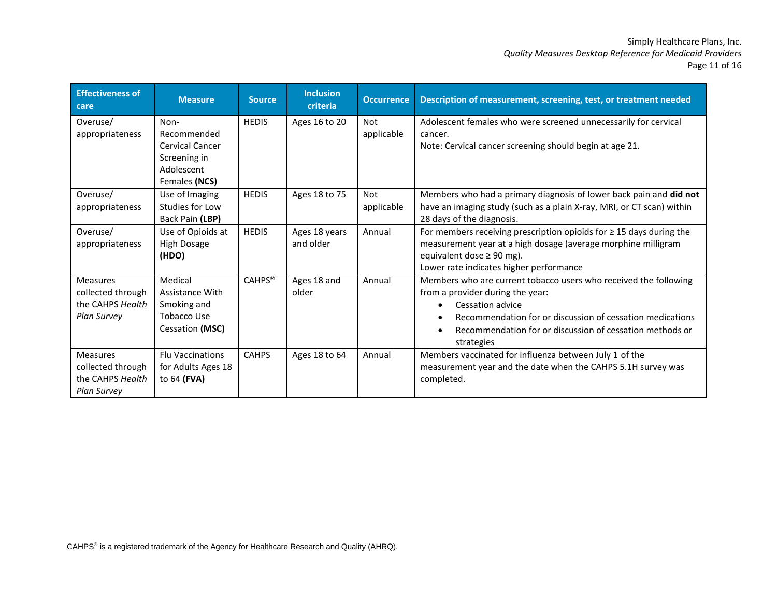# Simply Healthcare Plans, Inc. *Quality Measures Desktop Reference for Medicaid Providers* Page 11 of 16

| <b>Effectiveness of</b><br>care                                                | <b>Measure</b>                                                                               | <b>Source</b> | <b>Inclusion</b><br>criteria | <b>Occurrence</b> | Description of measurement, screening, test, or treatment needed                                                                                                                                                                                                |
|--------------------------------------------------------------------------------|----------------------------------------------------------------------------------------------|---------------|------------------------------|-------------------|-----------------------------------------------------------------------------------------------------------------------------------------------------------------------------------------------------------------------------------------------------------------|
| Overuse/<br>appropriateness                                                    | Non-<br>Recommended<br><b>Cervical Cancer</b><br>Screening in<br>Adolescent<br>Females (NCS) | <b>HEDIS</b>  | Ages 16 to 20                | Not<br>applicable | Adolescent females who were screened unnecessarily for cervical<br>cancer.<br>Note: Cervical cancer screening should begin at age 21.                                                                                                                           |
| Overuse/<br>appropriateness                                                    | Use of Imaging<br>Studies for Low<br>Back Pain (LBP)                                         | <b>HEDIS</b>  | Ages 18 to 75                | Not<br>applicable | Members who had a primary diagnosis of lower back pain and did not<br>have an imaging study (such as a plain X-ray, MRI, or CT scan) within<br>28 days of the diagnosis.                                                                                        |
| Overuse/<br>appropriateness                                                    | Use of Opioids at<br>High Dosage<br>(HDO)                                                    | <b>HEDIS</b>  | Ages 18 years<br>and older   | Annual            | For members receiving prescription opioids for $\geq$ 15 days during the<br>measurement year at a high dosage (average morphine milligram<br>equivalent dose $\geq$ 90 mg).<br>Lower rate indicates higher performance                                          |
| <b>Measures</b><br>collected through<br>the CAHPS Health<br><b>Plan Survey</b> | Medical<br><b>Assistance With</b><br>Smoking and<br><b>Tobacco Use</b><br>Cessation (MSC)    | <b>CAHPS®</b> | Ages 18 and<br>older         | Annual            | Members who are current tobacco users who received the following<br>from a provider during the year:<br>Cessation advice<br>Recommendation for or discussion of cessation medications<br>Recommendation for or discussion of cessation methods or<br>strategies |
| <b>Measures</b><br>collected through<br>the CAHPS Health<br><b>Plan Survey</b> | <b>Flu Vaccinations</b><br>for Adults Ages 18<br>to 64 (FVA)                                 | <b>CAHPS</b>  | Ages 18 to 64                | Annual            | Members vaccinated for influenza between July 1 of the<br>measurement year and the date when the CAHPS 5.1H survey was<br>completed.                                                                                                                            |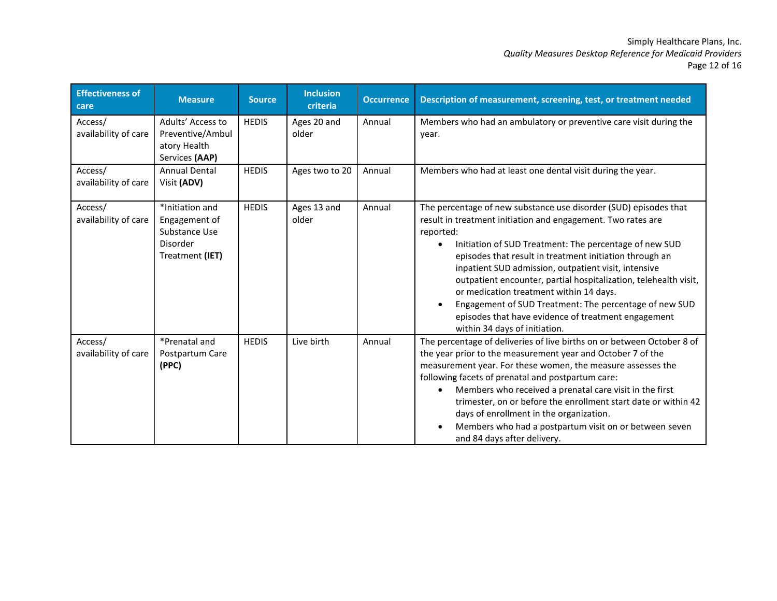# Simply Healthcare Plans, Inc. *Quality Measures Desktop Reference for Medicaid Providers* Page 12 of 16

| <b>Effectiveness of</b><br>care | <b>Measure</b>                                                                   | <b>Source</b> | <b>Inclusion</b><br>criteria | <b>Occurrence</b> | Description of measurement, screening, test, or treatment needed                                                                                                                                                                                                                                                                                                                                                                                                                                                                                                                            |
|---------------------------------|----------------------------------------------------------------------------------|---------------|------------------------------|-------------------|---------------------------------------------------------------------------------------------------------------------------------------------------------------------------------------------------------------------------------------------------------------------------------------------------------------------------------------------------------------------------------------------------------------------------------------------------------------------------------------------------------------------------------------------------------------------------------------------|
| Access/<br>availability of care | Adults' Access to<br>Preventive/Ambul<br>atory Health<br>Services (AAP)          | <b>HEDIS</b>  | Ages 20 and<br>older         | Annual            | Members who had an ambulatory or preventive care visit during the<br>year.                                                                                                                                                                                                                                                                                                                                                                                                                                                                                                                  |
| Access/<br>availability of care | <b>Annual Dental</b><br>Visit (ADV)                                              | <b>HEDIS</b>  | Ages two to 20               | Annual            | Members who had at least one dental visit during the year.                                                                                                                                                                                                                                                                                                                                                                                                                                                                                                                                  |
| Access/<br>availability of care | *Initiation and<br>Engagement of<br>Substance Use<br>Disorder<br>Treatment (IET) | <b>HEDIS</b>  | Ages 13 and<br>older         | Annual            | The percentage of new substance use disorder (SUD) episodes that<br>result in treatment initiation and engagement. Two rates are<br>reported:<br>Initiation of SUD Treatment: The percentage of new SUD<br>episodes that result in treatment initiation through an<br>inpatient SUD admission, outpatient visit, intensive<br>outpatient encounter, partial hospitalization, telehealth visit,<br>or medication treatment within 14 days.<br>Engagement of SUD Treatment: The percentage of new SUD<br>episodes that have evidence of treatment engagement<br>within 34 days of initiation. |
| Access/<br>availability of care | *Prenatal and<br>Postpartum Care<br>(PPC)                                        | <b>HEDIS</b>  | Live birth                   | Annual            | The percentage of deliveries of live births on or between October 8 of<br>the year prior to the measurement year and October 7 of the<br>measurement year. For these women, the measure assesses the<br>following facets of prenatal and postpartum care:<br>Members who received a prenatal care visit in the first<br>$\bullet$<br>trimester, on or before the enrollment start date or within 42<br>days of enrollment in the organization.<br>Members who had a postpartum visit on or between seven<br>and 84 days after delivery.                                                     |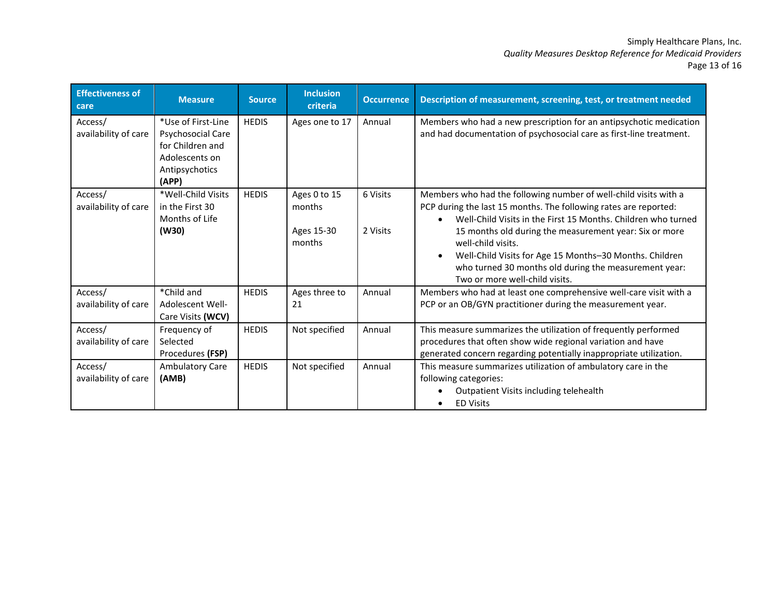#### Simply Healthcare Plans, Inc. *Quality Measures Desktop Reference for Medicaid Providers* Page 13 of 16

| <b>Effectiveness of</b><br>care | <b>Measure</b>                                                                                                  | <b>Source</b> | <b>Inclusion</b><br>criteria                   | <b>Occurrence</b>    | Description of measurement, screening, test, or treatment needed                                                                                                                                                                                                                                                                                                                                                                            |
|---------------------------------|-----------------------------------------------------------------------------------------------------------------|---------------|------------------------------------------------|----------------------|---------------------------------------------------------------------------------------------------------------------------------------------------------------------------------------------------------------------------------------------------------------------------------------------------------------------------------------------------------------------------------------------------------------------------------------------|
| Access/<br>availability of care | *Use of First-Line<br><b>Psychosocial Care</b><br>for Children and<br>Adolescents on<br>Antipsychotics<br>(APP) | <b>HEDIS</b>  | Ages one to 17                                 | Annual               | Members who had a new prescription for an antipsychotic medication<br>and had documentation of psychosocial care as first-line treatment.                                                                                                                                                                                                                                                                                                   |
| Access/<br>availability of care | *Well-Child Visits<br>in the First 30<br>Months of Life<br>(W30)                                                | <b>HEDIS</b>  | Ages 0 to 15<br>months<br>Ages 15-30<br>months | 6 Visits<br>2 Visits | Members who had the following number of well-child visits with a<br>PCP during the last 15 months. The following rates are reported:<br>Well-Child Visits in the First 15 Months. Children who turned<br>15 months old during the measurement year: Six or more<br>well-child visits.<br>Well-Child Visits for Age 15 Months-30 Months. Children<br>who turned 30 months old during the measurement year:<br>Two or more well-child visits. |
| Access/<br>availability of care | *Child and<br>Adolescent Well-<br>Care Visits (WCV)                                                             | <b>HEDIS</b>  | Ages three to<br>21                            | Annual               | Members who had at least one comprehensive well-care visit with a<br>PCP or an OB/GYN practitioner during the measurement year.                                                                                                                                                                                                                                                                                                             |
| Access/<br>availability of care | Frequency of<br>Selected<br>Procedures (FSP)                                                                    | <b>HEDIS</b>  | Not specified                                  | Annual               | This measure summarizes the utilization of frequently performed<br>procedures that often show wide regional variation and have<br>generated concern regarding potentially inappropriate utilization.                                                                                                                                                                                                                                        |
| Access/<br>availability of care | Ambulatory Care<br>(AMB)                                                                                        | <b>HEDIS</b>  | Not specified                                  | Annual               | This measure summarizes utilization of ambulatory care in the<br>following categories:<br>Outpatient Visits including telehealth<br><b>ED Visits</b>                                                                                                                                                                                                                                                                                        |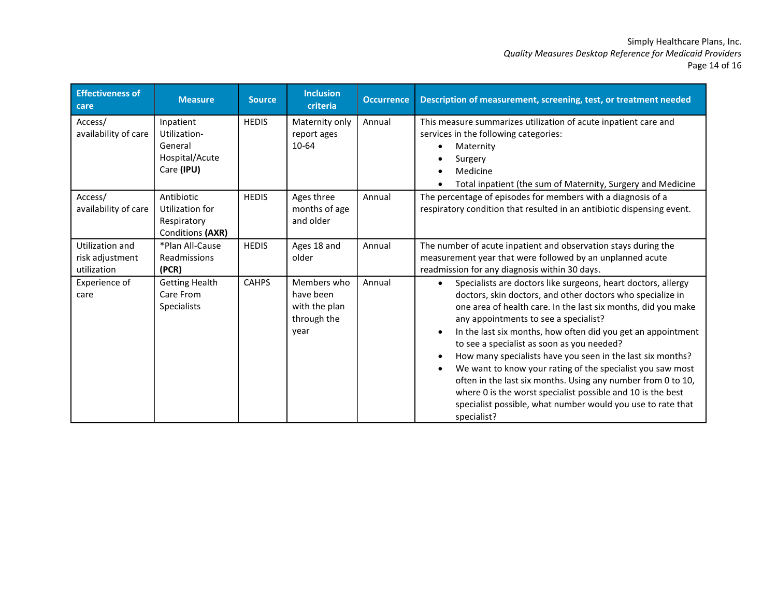#### Simply Healthcare Plans, Inc. *Quality Measures Desktop Reference for Medicaid Providers* Page 14 of 16

| <b>Effectiveness of</b><br>care                   | <b>Measure</b>                                                       | <b>Source</b> | <b>Inclusion</b><br>criteria                                     | <b>Occurrence</b> | Description of measurement, screening, test, or treatment needed                                                                                                                                                                                                                                                                                                                                                                                                                                                                                                                                                                                                                                          |
|---------------------------------------------------|----------------------------------------------------------------------|---------------|------------------------------------------------------------------|-------------------|-----------------------------------------------------------------------------------------------------------------------------------------------------------------------------------------------------------------------------------------------------------------------------------------------------------------------------------------------------------------------------------------------------------------------------------------------------------------------------------------------------------------------------------------------------------------------------------------------------------------------------------------------------------------------------------------------------------|
| Access/<br>availability of care                   | Inpatient<br>Utilization-<br>General<br>Hospital/Acute<br>Care (IPU) | <b>HEDIS</b>  | Maternity only<br>report ages<br>10-64                           | Annual            | This measure summarizes utilization of acute inpatient care and<br>services in the following categories:<br>Maternity<br>Surgery<br>Medicine<br>Total inpatient (the sum of Maternity, Surgery and Medicine                                                                                                                                                                                                                                                                                                                                                                                                                                                                                               |
| Access/<br>availability of care                   | Antibiotic<br>Utilization for<br>Respiratory<br>Conditions (AXR)     | <b>HEDIS</b>  | Ages three<br>months of age<br>and older                         | Annual            | The percentage of episodes for members with a diagnosis of a<br>respiratory condition that resulted in an antibiotic dispensing event.                                                                                                                                                                                                                                                                                                                                                                                                                                                                                                                                                                    |
| Utilization and<br>risk adjustment<br>utilization | *Plan All-Cause<br>Readmissions<br>(PCR)                             | <b>HEDIS</b>  | Ages 18 and<br>older                                             | Annual            | The number of acute inpatient and observation stays during the<br>measurement year that were followed by an unplanned acute<br>readmission for any diagnosis within 30 days.                                                                                                                                                                                                                                                                                                                                                                                                                                                                                                                              |
| Experience of<br>care                             | <b>Getting Health</b><br>Care From<br>Specialists                    | <b>CAHPS</b>  | Members who<br>have been<br>with the plan<br>through the<br>year | Annual            | Specialists are doctors like surgeons, heart doctors, allergy<br>$\bullet$<br>doctors, skin doctors, and other doctors who specialize in<br>one area of health care. In the last six months, did you make<br>any appointments to see a specialist?<br>In the last six months, how often did you get an appointment<br>to see a specialist as soon as you needed?<br>How many specialists have you seen in the last six months?<br>We want to know your rating of the specialist you saw most<br>often in the last six months. Using any number from 0 to 10,<br>where 0 is the worst specialist possible and 10 is the best<br>specialist possible, what number would you use to rate that<br>specialist? |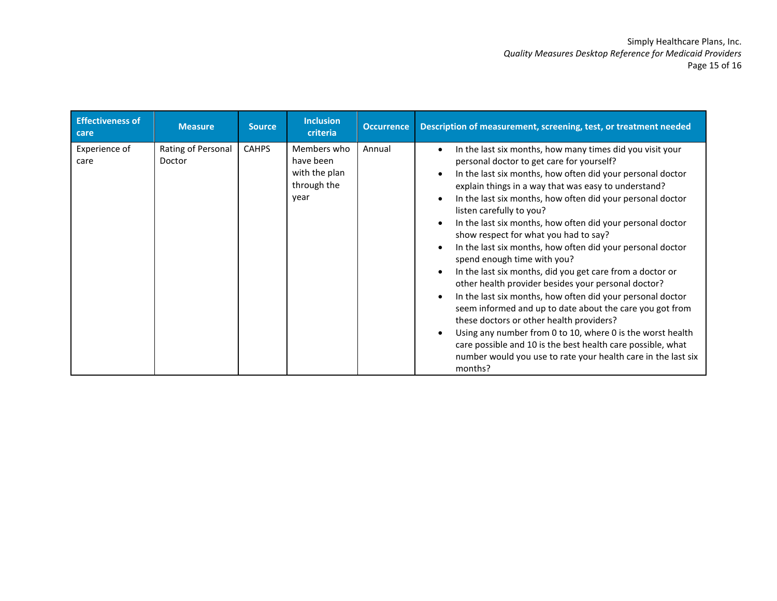| <b>Effectiveness of</b><br>care | <b>Measure</b>               | <b>Source</b> | <b>Inclusion</b><br>criteria                                     | <b>Occurrence</b> | Description of measurement, screening, test, or treatment needed                                                                                                                                                                                                                                                                                                                                                                                                                                                                                                                                                                                                                                                                                                                                                                                                                                                                                                                                                                                                                  |
|---------------------------------|------------------------------|---------------|------------------------------------------------------------------|-------------------|-----------------------------------------------------------------------------------------------------------------------------------------------------------------------------------------------------------------------------------------------------------------------------------------------------------------------------------------------------------------------------------------------------------------------------------------------------------------------------------------------------------------------------------------------------------------------------------------------------------------------------------------------------------------------------------------------------------------------------------------------------------------------------------------------------------------------------------------------------------------------------------------------------------------------------------------------------------------------------------------------------------------------------------------------------------------------------------|
| Experience of<br>care           | Rating of Personal<br>Doctor | <b>CAHPS</b>  | Members who<br>have been<br>with the plan<br>through the<br>year | Annual            | In the last six months, how many times did you visit your<br>$\bullet$<br>personal doctor to get care for yourself?<br>In the last six months, how often did your personal doctor<br>$\bullet$<br>explain things in a way that was easy to understand?<br>In the last six months, how often did your personal doctor<br>listen carefully to you?<br>In the last six months, how often did your personal doctor<br>$\bullet$<br>show respect for what you had to say?<br>In the last six months, how often did your personal doctor<br>spend enough time with you?<br>In the last six months, did you get care from a doctor or<br>$\bullet$<br>other health provider besides your personal doctor?<br>In the last six months, how often did your personal doctor<br>seem informed and up to date about the care you got from<br>these doctors or other health providers?<br>Using any number from 0 to 10, where 0 is the worst health<br>care possible and 10 is the best health care possible, what<br>number would you use to rate your health care in the last six<br>months? |